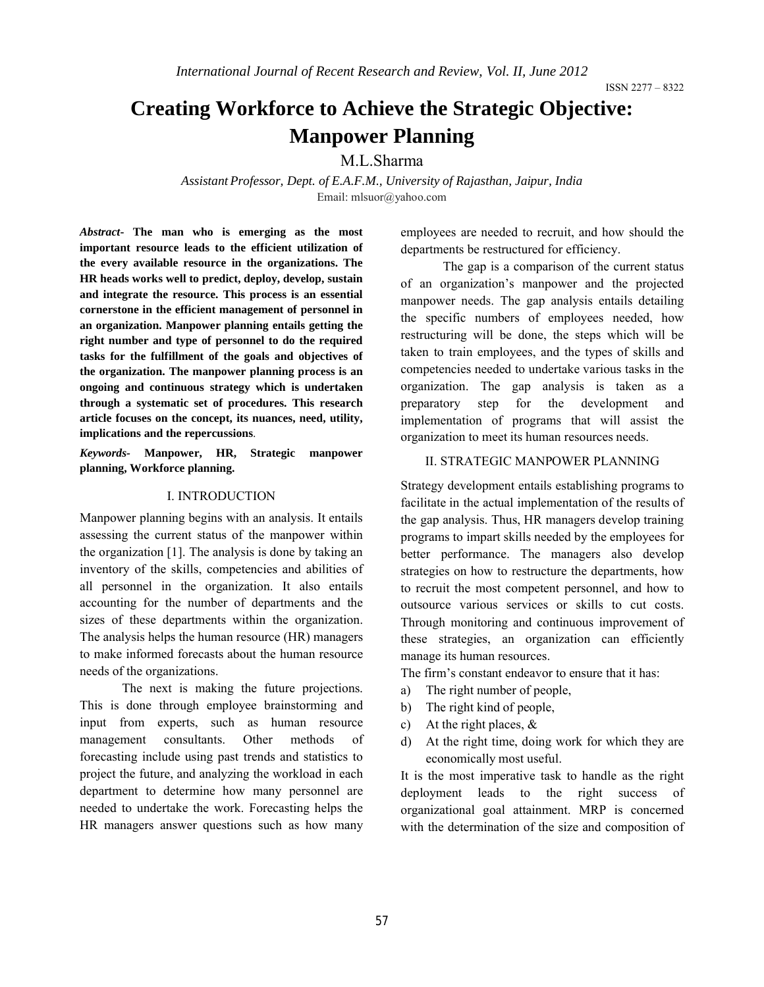# **Creating Workforce to Achieve the Strategic Objective: Manpower Planning**

M.L.Sharma

*Assistant Professor, Dept. of E.A.F.M., University of Rajasthan, Jaipur, India* Email: mlsuor@yahoo.com

*Abstract***- The man who is emerging as the most important resource leads to the efficient utilization of the every available resource in the organizations. The HR heads works well to predict, deploy, develop, sustain and integrate the resource. This process is an essential cornerstone in the efficient management of personnel in an organization. Manpower planning entails getting the right number and type of personnel to do the required tasks for the fulfillment of the goals and objectives of the organization. The manpower planning process is an ongoing and continuous strategy which is undertaken through a systematic set of procedures. This research article focuses on the concept, its nuances, need, utility, implications and the repercussions**.

*Keywords-* **Manpower, HR, Strategic manpower planning, Workforce planning.**

# I. INTRODUCTION

Manpower planning begins with an analysis. It entails assessing the current status of the manpower within the organization [1]. The analysis is done by taking an inventory of the skills, competencies and abilities of all personnel in the organization. It also entails accounting for the number of departments and the sizes of these departments within the organization. The analysis helps the human resource (HR) managers to make informed forecasts about the human resource needs of the organizations.

The next is making the future projections. This is done through employee brainstorming and input from experts, such as human resource management consultants. Other methods of forecasting include using past trends and statistics to project the future, and analyzing the workload in each department to determine how many personnel are needed to undertake the work. Forecasting helps the HR managers answer questions such as how many employees are needed to recruit, and how should the departments be restructured for efficiency.

The gap is a comparison of the current status of an organization's manpower and the projected manpower needs. The gap analysis entails detailing the specific numbers of employees needed, how restructuring will be done, the steps which will be taken to train employees, and the types of skills and competencies needed to undertake various tasks in the organization. The gap analysis is taken as a preparatory step for the development and implementation of programs that will assist the organization to meet its human resources needs.

### II. STRATEGIC MANPOWER PLANNING

Strategy development entails establishing programs to facilitate in the actual implementation of the results of the gap analysis. Thus, HR managers develop training programs to impart skills needed by the employees for better performance. The managers also develop strategies on how to restructure the departments, how to recruit the most competent personnel, and how to outsource various services or skills to cut costs. Through monitoring and continuous improvement of these strategies, an organization can efficiently manage its human resources.

The firm's constant endeavor to ensure that it has:

- a) The right number of people,
- b) The right kind of people,
- c) At the right places,  $\&$
- d) At the right time, doing work for which they are economically most useful.

It is the most imperative task to handle as the right deployment leads to the right success of organizational goal attainment. MRP is concerned with the determination of the size and composition of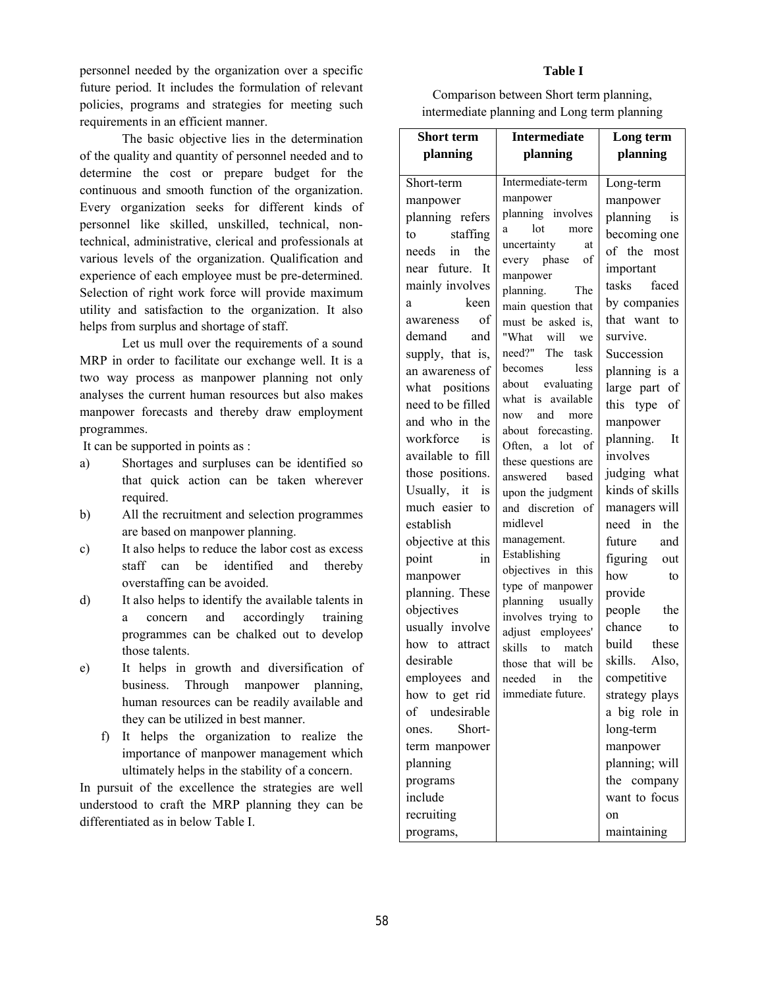personnel needed by the organization over a specific future period. It includes the formulation of relevant policies, programs and strategies for meeting such requirements in an efficient manner.

The basic objective lies in the determination of the quality and quantity of personnel needed and to determine the cost or prepare budget for the continuous and smooth function of the organization. Every organization seeks for different kinds of personnel like skilled, unskilled, technical, nontechnical, administrative, clerical and professionals at various levels of the organization. Qualification and experience of each employee must be pre-determined. Selection of right work force will provide maximum utility and satisfaction to the organization. It also helps from surplus and shortage of staff.

Let us mull over the requirements of a sound MRP in order to facilitate our exchange well. It is a two way process as manpower planning not only analyses the current human resources but also makes manpower forecasts and thereby draw employment programmes.

It can be supported in points as :

- a) Shortages and surpluses can be identified so that quick action can be taken wherever required.
- b) All the recruitment and selection programmes are based on manpower planning.
- c) It also helps to reduce the labor cost as excess staff can be identified and thereby overstaffing can be avoided.
- d) It also helps to identify the available talents in a concern and accordingly training programmes can be chalked out to develop those talents.
- e) It helps in growth and diversification of business. Through manpower planning, human resources can be readily available and they can be utilized in best manner.
	- f) It helps the organization to realize the importance of manpower management which ultimately helps in the stability of a concern.

In pursuit of the excellence the strategies are well understood to craft the MRP planning they can be differentiated as in below Table I.

#### **Table I**

Comparison between Short term planning, intermediate planning and Long term planning

| planning<br>planning<br>planning<br>Intermediate-term<br>Short-term<br>Long-term<br>manpower<br>manpower<br>manpower<br>planning involves<br>planning refers<br>planning is<br>more<br>a<br>to staffing<br>becoming one<br>uncertainty<br>at<br>needs in the<br>of the most<br>every phase of<br>near future. It<br>important<br>manpower<br>mainly involves<br>tasks faced<br>planning.<br>The<br>by companies<br>keen<br>a<br>main question that<br>that want to<br>awareness of<br>must be asked is,<br>demand and<br>survive.<br>"What will<br>we<br>need?" The task<br>supply, that is,<br>Succession<br>becomes less<br>an awareness of<br>planning is a<br>about evaluating<br>what positions<br>large part of<br>what is available<br>need to be filled<br>this type of<br>now and more<br>and who in the<br>manpower<br>about forecasting.<br>planning. It<br>workforce is<br>Often, a lot of<br>involves<br>available to fill<br>these questions are<br>judging what<br>those positions.<br>answered based<br>kinds of skills<br>Usually, it is<br>upon the judgment<br>much easier to<br>and discretion of<br>managers will<br>midlevel<br>need in<br>establish<br>the<br>management.<br>objective at this<br>future and<br>Establishing<br>figuring out<br>point<br>in<br>objectives in this<br>how<br>to<br>manpower<br>type of manpower<br>planning. These<br>provide | <b>Short term</b> | <b>Intermediate</b> | Long term  |
|-------------------------------------------------------------------------------------------------------------------------------------------------------------------------------------------------------------------------------------------------------------------------------------------------------------------------------------------------------------------------------------------------------------------------------------------------------------------------------------------------------------------------------------------------------------------------------------------------------------------------------------------------------------------------------------------------------------------------------------------------------------------------------------------------------------------------------------------------------------------------------------------------------------------------------------------------------------------------------------------------------------------------------------------------------------------------------------------------------------------------------------------------------------------------------------------------------------------------------------------------------------------------------------------------------------------------------------------------------------------------------------|-------------------|---------------------|------------|
|                                                                                                                                                                                                                                                                                                                                                                                                                                                                                                                                                                                                                                                                                                                                                                                                                                                                                                                                                                                                                                                                                                                                                                                                                                                                                                                                                                                     |                   |                     |            |
|                                                                                                                                                                                                                                                                                                                                                                                                                                                                                                                                                                                                                                                                                                                                                                                                                                                                                                                                                                                                                                                                                                                                                                                                                                                                                                                                                                                     |                   |                     |            |
|                                                                                                                                                                                                                                                                                                                                                                                                                                                                                                                                                                                                                                                                                                                                                                                                                                                                                                                                                                                                                                                                                                                                                                                                                                                                                                                                                                                     |                   |                     |            |
|                                                                                                                                                                                                                                                                                                                                                                                                                                                                                                                                                                                                                                                                                                                                                                                                                                                                                                                                                                                                                                                                                                                                                                                                                                                                                                                                                                                     |                   |                     |            |
|                                                                                                                                                                                                                                                                                                                                                                                                                                                                                                                                                                                                                                                                                                                                                                                                                                                                                                                                                                                                                                                                                                                                                                                                                                                                                                                                                                                     |                   |                     |            |
|                                                                                                                                                                                                                                                                                                                                                                                                                                                                                                                                                                                                                                                                                                                                                                                                                                                                                                                                                                                                                                                                                                                                                                                                                                                                                                                                                                                     |                   |                     |            |
|                                                                                                                                                                                                                                                                                                                                                                                                                                                                                                                                                                                                                                                                                                                                                                                                                                                                                                                                                                                                                                                                                                                                                                                                                                                                                                                                                                                     |                   |                     |            |
|                                                                                                                                                                                                                                                                                                                                                                                                                                                                                                                                                                                                                                                                                                                                                                                                                                                                                                                                                                                                                                                                                                                                                                                                                                                                                                                                                                                     |                   |                     |            |
|                                                                                                                                                                                                                                                                                                                                                                                                                                                                                                                                                                                                                                                                                                                                                                                                                                                                                                                                                                                                                                                                                                                                                                                                                                                                                                                                                                                     |                   |                     |            |
|                                                                                                                                                                                                                                                                                                                                                                                                                                                                                                                                                                                                                                                                                                                                                                                                                                                                                                                                                                                                                                                                                                                                                                                                                                                                                                                                                                                     |                   |                     |            |
|                                                                                                                                                                                                                                                                                                                                                                                                                                                                                                                                                                                                                                                                                                                                                                                                                                                                                                                                                                                                                                                                                                                                                                                                                                                                                                                                                                                     |                   |                     |            |
|                                                                                                                                                                                                                                                                                                                                                                                                                                                                                                                                                                                                                                                                                                                                                                                                                                                                                                                                                                                                                                                                                                                                                                                                                                                                                                                                                                                     |                   |                     |            |
|                                                                                                                                                                                                                                                                                                                                                                                                                                                                                                                                                                                                                                                                                                                                                                                                                                                                                                                                                                                                                                                                                                                                                                                                                                                                                                                                                                                     |                   |                     |            |
|                                                                                                                                                                                                                                                                                                                                                                                                                                                                                                                                                                                                                                                                                                                                                                                                                                                                                                                                                                                                                                                                                                                                                                                                                                                                                                                                                                                     |                   |                     |            |
|                                                                                                                                                                                                                                                                                                                                                                                                                                                                                                                                                                                                                                                                                                                                                                                                                                                                                                                                                                                                                                                                                                                                                                                                                                                                                                                                                                                     |                   |                     |            |
|                                                                                                                                                                                                                                                                                                                                                                                                                                                                                                                                                                                                                                                                                                                                                                                                                                                                                                                                                                                                                                                                                                                                                                                                                                                                                                                                                                                     |                   |                     |            |
|                                                                                                                                                                                                                                                                                                                                                                                                                                                                                                                                                                                                                                                                                                                                                                                                                                                                                                                                                                                                                                                                                                                                                                                                                                                                                                                                                                                     |                   |                     |            |
|                                                                                                                                                                                                                                                                                                                                                                                                                                                                                                                                                                                                                                                                                                                                                                                                                                                                                                                                                                                                                                                                                                                                                                                                                                                                                                                                                                                     |                   |                     |            |
|                                                                                                                                                                                                                                                                                                                                                                                                                                                                                                                                                                                                                                                                                                                                                                                                                                                                                                                                                                                                                                                                                                                                                                                                                                                                                                                                                                                     |                   |                     |            |
|                                                                                                                                                                                                                                                                                                                                                                                                                                                                                                                                                                                                                                                                                                                                                                                                                                                                                                                                                                                                                                                                                                                                                                                                                                                                                                                                                                                     |                   |                     |            |
|                                                                                                                                                                                                                                                                                                                                                                                                                                                                                                                                                                                                                                                                                                                                                                                                                                                                                                                                                                                                                                                                                                                                                                                                                                                                                                                                                                                     |                   |                     |            |
|                                                                                                                                                                                                                                                                                                                                                                                                                                                                                                                                                                                                                                                                                                                                                                                                                                                                                                                                                                                                                                                                                                                                                                                                                                                                                                                                                                                     |                   |                     |            |
|                                                                                                                                                                                                                                                                                                                                                                                                                                                                                                                                                                                                                                                                                                                                                                                                                                                                                                                                                                                                                                                                                                                                                                                                                                                                                                                                                                                     |                   |                     |            |
|                                                                                                                                                                                                                                                                                                                                                                                                                                                                                                                                                                                                                                                                                                                                                                                                                                                                                                                                                                                                                                                                                                                                                                                                                                                                                                                                                                                     |                   |                     |            |
|                                                                                                                                                                                                                                                                                                                                                                                                                                                                                                                                                                                                                                                                                                                                                                                                                                                                                                                                                                                                                                                                                                                                                                                                                                                                                                                                                                                     |                   |                     |            |
|                                                                                                                                                                                                                                                                                                                                                                                                                                                                                                                                                                                                                                                                                                                                                                                                                                                                                                                                                                                                                                                                                                                                                                                                                                                                                                                                                                                     |                   |                     |            |
|                                                                                                                                                                                                                                                                                                                                                                                                                                                                                                                                                                                                                                                                                                                                                                                                                                                                                                                                                                                                                                                                                                                                                                                                                                                                                                                                                                                     |                   |                     |            |
|                                                                                                                                                                                                                                                                                                                                                                                                                                                                                                                                                                                                                                                                                                                                                                                                                                                                                                                                                                                                                                                                                                                                                                                                                                                                                                                                                                                     | objectives        | planning usually    | people the |
| involves trying to<br>usually involve<br>chance<br>to                                                                                                                                                                                                                                                                                                                                                                                                                                                                                                                                                                                                                                                                                                                                                                                                                                                                                                                                                                                                                                                                                                                                                                                                                                                                                                                               |                   |                     |            |
| adjust employees'<br>how to attract<br>build these<br>skills to match                                                                                                                                                                                                                                                                                                                                                                                                                                                                                                                                                                                                                                                                                                                                                                                                                                                                                                                                                                                                                                                                                                                                                                                                                                                                                                               |                   |                     |            |
| desirable<br>skills. Also,<br>those that will be                                                                                                                                                                                                                                                                                                                                                                                                                                                                                                                                                                                                                                                                                                                                                                                                                                                                                                                                                                                                                                                                                                                                                                                                                                                                                                                                    |                   |                     |            |
| employees and<br>competitive<br>needed in the                                                                                                                                                                                                                                                                                                                                                                                                                                                                                                                                                                                                                                                                                                                                                                                                                                                                                                                                                                                                                                                                                                                                                                                                                                                                                                                                       |                   |                     |            |
| immediate future.<br>how to get rid<br>strategy plays                                                                                                                                                                                                                                                                                                                                                                                                                                                                                                                                                                                                                                                                                                                                                                                                                                                                                                                                                                                                                                                                                                                                                                                                                                                                                                                               |                   |                     |            |
| undesirable<br>of<br>a big role in                                                                                                                                                                                                                                                                                                                                                                                                                                                                                                                                                                                                                                                                                                                                                                                                                                                                                                                                                                                                                                                                                                                                                                                                                                                                                                                                                  |                   |                     |            |
| Short-<br>long-term<br>ones.                                                                                                                                                                                                                                                                                                                                                                                                                                                                                                                                                                                                                                                                                                                                                                                                                                                                                                                                                                                                                                                                                                                                                                                                                                                                                                                                                        |                   |                     |            |
| manpower<br>term manpower                                                                                                                                                                                                                                                                                                                                                                                                                                                                                                                                                                                                                                                                                                                                                                                                                                                                                                                                                                                                                                                                                                                                                                                                                                                                                                                                                           |                   |                     |            |
| planning; will<br>planning                                                                                                                                                                                                                                                                                                                                                                                                                                                                                                                                                                                                                                                                                                                                                                                                                                                                                                                                                                                                                                                                                                                                                                                                                                                                                                                                                          |                   |                     |            |
| programs<br>the company                                                                                                                                                                                                                                                                                                                                                                                                                                                                                                                                                                                                                                                                                                                                                                                                                                                                                                                                                                                                                                                                                                                                                                                                                                                                                                                                                             |                   |                     |            |
| include<br>want to focus                                                                                                                                                                                                                                                                                                                                                                                                                                                                                                                                                                                                                                                                                                                                                                                                                                                                                                                                                                                                                                                                                                                                                                                                                                                                                                                                                            |                   |                     |            |
| recruiting<br>on                                                                                                                                                                                                                                                                                                                                                                                                                                                                                                                                                                                                                                                                                                                                                                                                                                                                                                                                                                                                                                                                                                                                                                                                                                                                                                                                                                    |                   |                     |            |
| maintaining<br>programs,                                                                                                                                                                                                                                                                                                                                                                                                                                                                                                                                                                                                                                                                                                                                                                                                                                                                                                                                                                                                                                                                                                                                                                                                                                                                                                                                                            |                   |                     |            |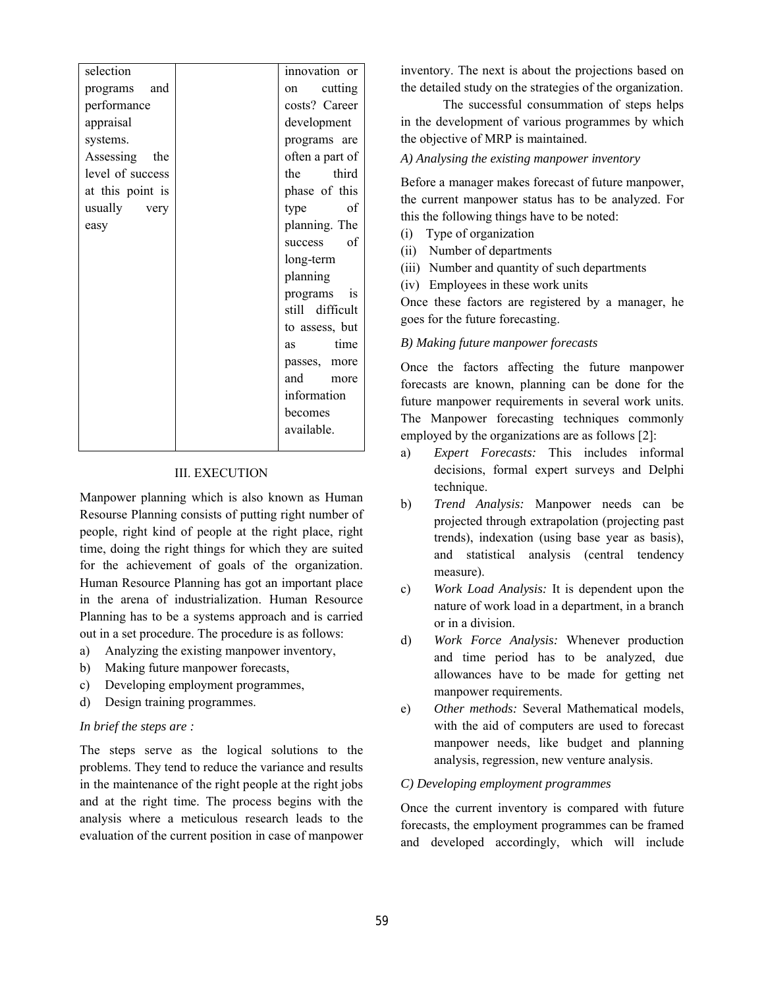| selection        | innovation or                                                                                                                                                                                                                          |
|------------------|----------------------------------------------------------------------------------------------------------------------------------------------------------------------------------------------------------------------------------------|
| programs and     | on cutting                                                                                                                                                                                                                             |
| performance      | costs? Career                                                                                                                                                                                                                          |
| appraisal        | development                                                                                                                                                                                                                            |
| systems.         | programs are                                                                                                                                                                                                                           |
| Assessing the    | often a part of                                                                                                                                                                                                                        |
| level of success | the third                                                                                                                                                                                                                              |
| at this point is | phase of this                                                                                                                                                                                                                          |
| usually very     | type<br>of                                                                                                                                                                                                                             |
| easy             | planning. The                                                                                                                                                                                                                          |
|                  | of<br>success                                                                                                                                                                                                                          |
|                  | long-term                                                                                                                                                                                                                              |
|                  | planning                                                                                                                                                                                                                               |
|                  | programs<br>is                                                                                                                                                                                                                         |
|                  | still difficult                                                                                                                                                                                                                        |
|                  | to assess, but                                                                                                                                                                                                                         |
|                  | time<br>as and the set of the set of the set of the set of the set of the set of the set of the set of the set of the set of the set of the set of the set of the set of the set of the set of the set of the set of the set of the se |
|                  | passes, more                                                                                                                                                                                                                           |
|                  | and<br>more                                                                                                                                                                                                                            |
|                  | information                                                                                                                                                                                                                            |
|                  | becomes                                                                                                                                                                                                                                |
|                  | available.                                                                                                                                                                                                                             |
|                  |                                                                                                                                                                                                                                        |

# III. EXECUTION

Manpower planning which is also known as Human Resourse Planning consists of putting right number of people, right kind of people at the right place, right time, doing the right things for which they are suited for the achievement of goals of the organization. Human Resource Planning has got an important place in the arena of industrialization. Human Resource Planning has to be a systems approach and is carried out in a set procedure. The procedure is as follows:

- a) Analyzing the existing manpower inventory,
- b) Making future manpower forecasts,
- c) Developing employment programmes,
- d) Design training programmes.

#### *In brief the steps are :*

The steps serve as the logical solutions to the problems. They tend to reduce the variance and results in the maintenance of the right people at the right jobs and at the right time. The process begins with the analysis where a meticulous research leads to the evaluation of the current position in case of manpower inventory. The next is about the projections based on the detailed study on the strategies of the organization.

The successful consummation of steps helps in the development of various programmes by which the objective of MRP is maintained.

#### *A) Analysing the existing manpower inventory*

Before a manager makes forecast of future manpower, the current manpower status has to be analyzed. For this the following things have to be noted:

- (i) Type of organization
- (ii) Number of departments
- (iii) Number and quantity of such departments
- (iv) Employees in these work units

Once these factors are registered by a manager, he goes for the future forecasting.

#### *B) Making future manpower forecasts*

Once the factors affecting the future manpower forecasts are known, planning can be done for the future manpower requirements in several work units. The Manpower forecasting techniques commonly employed by the organizations are as follows [2]:

- a) *Expert Forecasts:* This includes informal decisions, formal expert surveys and Delphi technique.
- b) *Trend Analysis:* Manpower needs can be projected through extrapolation (projecting past trends), indexation (using base year as basis), and statistical analysis (central tendency measure).
- c) *Work Load Analysis:* It is dependent upon the nature of work load in a department, in a branch or in a division.
- d) *Work Force Analysis:* Whenever production and time period has to be analyzed, due allowances have to be made for getting net manpower requirements.
- e) *Other methods:* Several Mathematical models, with the aid of computers are used to forecast manpower needs, like budget and planning analysis, regression, new venture analysis.

# *C) Developing employment programmes*

Once the current inventory is compared with future forecasts, the employment programmes can be framed and developed accordingly, which will include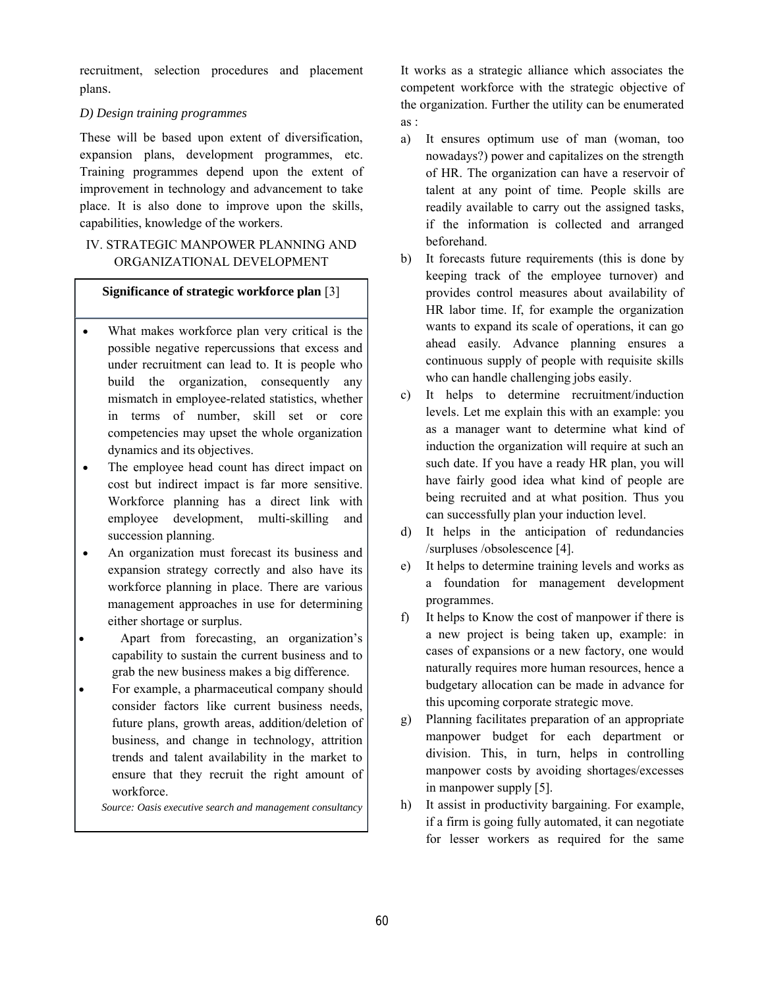recruitment, selection procedures and placement plans.

# *D) Design training programmes*

These will be based upon extent of diversification, expansion plans, development programmes, etc. Training programmes depend upon the extent of improvement in technology and advancement to take place. It is also done to improve upon the skills, capabilities, knowledge of the workers.

# IV. STRATEGIC MANPOWER PLANNING AND ORGANIZATIONAL DEVELOPMENT

## **Significance of strategic workforce plan** [3]

- What makes workforce plan very critical is the possible negative repercussions that excess and under recruitment can lead to. It is people who build the organization, consequently any mismatch in employee-related statistics, whether in terms of number, skill set or core competencies may upset the whole organization dynamics and its objectives.
- The employee head count has direct impact on cost but indirect impact is far more sensitive. Workforce planning has a direct link with employee development, multi-skilling and succession planning.
- An organization must forecast its business and expansion strategy correctly and also have its workforce planning in place. There are various management approaches in use for determining either shortage or surplus.
- Apart from forecasting, an organization's capability to sustain the current business and to grab the new business makes a big difference.
- For example, a pharmaceutical company should consider factors like current business needs, future plans, growth areas, addition/deletion of business, and change in technology, attrition trends and talent availability in the market to ensure that they recruit the right amount of workforce.

*Source: Oasis executive search and management consultancy*

It works as a strategic alliance which associates the competent workforce with the strategic objective of the organization. Further the utility can be enumerated as :

- a) It ensures optimum use of man (woman, too nowadays?) power and capitalizes on the strength of HR. The organization can have a reservoir of talent at any point of time. People skills are readily available to carry out the assigned tasks, if the information is collected and arranged beforehand.
- b) It forecasts future requirements (this is done by keeping track of the employee turnover) and provides control measures about availability of HR labor time. If, for example the organization wants to expand its scale of operations, it can go ahead easily. Advance planning ensures a continuous supply of people with requisite skills who can handle challenging jobs easily.
- c) It helps to determine recruitment/induction levels. Let me explain this with an example: you as a manager want to determine what kind of induction the organization will require at such an such date. If you have a ready HR plan, you will have fairly good idea what kind of people are being recruited and at what position. Thus you can successfully plan your induction level.
- d) It helps in the anticipation of redundancies /surpluses /obsolescence [4].
- e) It helps to determine training levels and works as a foundation for management development programmes.
- f) It helps to Know the cost of manpower if there is a new project is being taken up, example: in cases of expansions or a new factory, one would naturally requires more human resources, hence a budgetary allocation can be made in advance for this upcoming corporate strategic move.
- g) Planning facilitates preparation of an appropriate manpower budget for each department or division. This, in turn, helps in controlling manpower costs by avoiding shortages/excesses in manpower supply [5].
- h) It assist in productivity bargaining. For example, if a firm is going fully automated, it can negotiate for lesser workers as required for the same